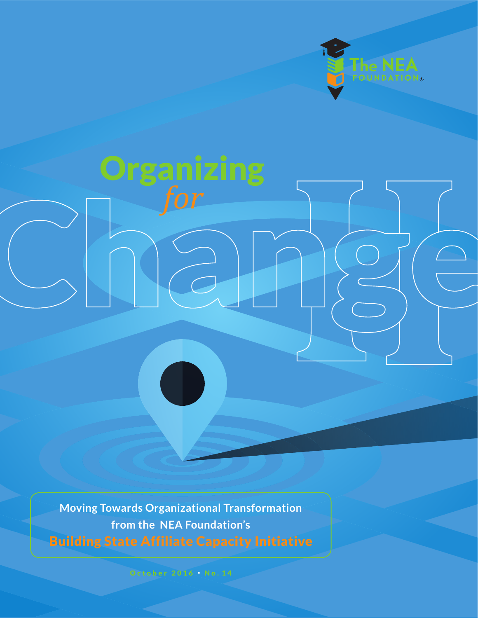

# **Organizing**  *for*

**Moving Towards Organizational Transformation from the NEA Foundation's** Building State Affiliate Capacity Initiative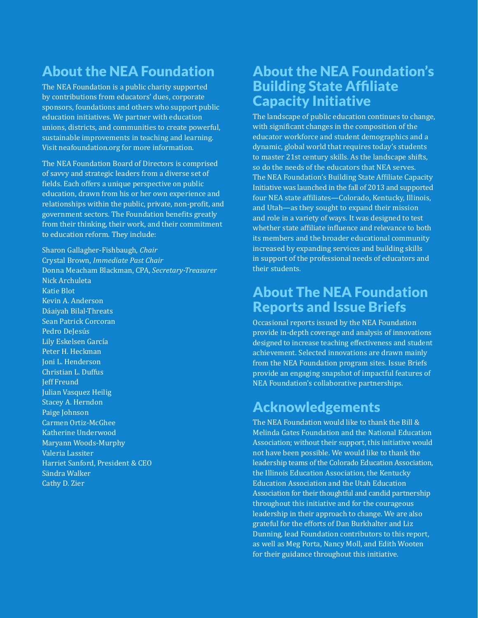### About the NEA Foundation

The NEA Foundation is a public charity supported by contributions from educators' dues, corporate sponsors, foundations and others who support public education initiatives. We partner with education unions, districts, and communities to create powerful, sustainable improvements in teaching and learning. Visit neafoundation.org for more information.

The NEA Foundation Board of Directors is comprised of savvy and strategic leaders from a diverse set of fields. Each offers a unique perspective on public education, drawn from his or her own experience and relationships within the public, private, non-profit, and government sectors. The Foundation benefits greatly from their thinking, their work, and their commitment to education reform. They include:

Sharon Gallagher-Fishbaugh, *Chair* Crystal Brown, *Immediate Past Chair* Donna Meacham Blackman, CPA, *Secretary-Treasurer* Nick Archuleta Katie Blot Kevin A. Anderson Dáaiyah Bilal-Threats Sean Patrick Corcoran Pedro DeJesús Lily Eskelsen García Peter H. Heckman Joni L. Henderson Christian L. Duffus Jeff Freund Julian Vasquez Heilig Stacey A. Herndon Paige Johnson Carmen Ortiz-McGhee Katherine Underwood Maryann Woods-Murphy Valeria Lassiter Harriet Sanford, President & CEO Sändra Walker Cathy D. Zier

#### About the NEA Foundation's Building State Affiliate Capacity Initiative

The landscape of public education continues to change, with significant changes in the composition of the educator workforce and student demographics and a dynamic, global world that requires today's students to master 21st century skills. As the landscape shifts, so do the needs of the educators that NEA serves. The NEA Foundation's Building State Affiliate Capacity Initiative was launched in the fall of 2013 and supported four NEA state affiliates—Colorado, Kentucky, Illinois, and Utah—as they sought to expand their mission and role in a variety of ways. It was designed to test whether state affiliate influence and relevance to both its members and the broader educational community increased by expanding services and building skills in support of the professional needs of educators and their students.

#### About The NEA Foundation Reports and Issue Briefs

Occasional reports issued by the NEA Foundation provide in-depth coverage and analysis of innovations designed to increase teaching effectiveness and student achievement. Selected innovations are drawn mainly from the NEA Foundation program sites. Issue Briefs provide an engaging snapshot of impactful features of NEA Foundation's collaborative partnerships.

### Acknowledgements

The NEA Foundation would like to thank the Bill & Melinda Gates Foundation and the National Education Association; without their support, this initiative would not have been possible. We would like to thank the leadership teams of the Colorado Education Association, the Illinois Education Association, the Kentucky Education Association and the Utah Education Association for their thoughtful and candid partnership throughout this initiative and for the courageous leadership in their approach to change. We are also grateful for the efforts of Dan Burkhalter and Liz Dunning, lead Foundation contributors to this report, as well as Meg Porta, Nancy Moll, and Edith Wooten for their guidance throughout this initiative.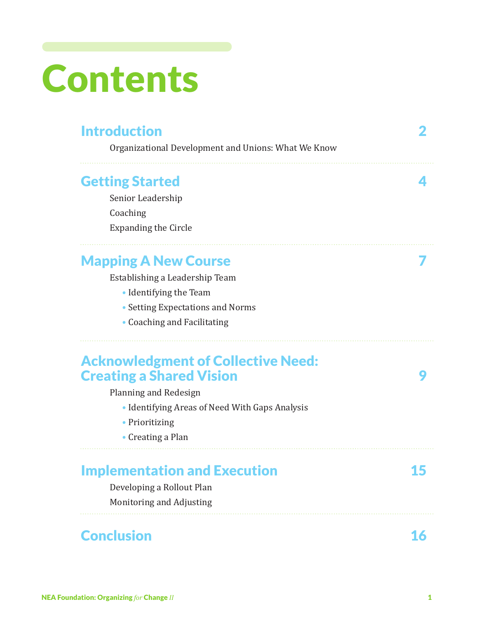# Contents

| <b>Introduction</b><br>Organizational Development and Unions: What We Know                                                                                                                     |  |
|------------------------------------------------------------------------------------------------------------------------------------------------------------------------------------------------|--|
| <b>Getting Started</b>                                                                                                                                                                         |  |
| Senior Leadership                                                                                                                                                                              |  |
| Coaching                                                                                                                                                                                       |  |
| <b>Expanding the Circle</b>                                                                                                                                                                    |  |
| <b>Mapping A New Course</b>                                                                                                                                                                    |  |
| Establishing a Leadership Team                                                                                                                                                                 |  |
| • Identifying the Team                                                                                                                                                                         |  |
| • Setting Expectations and Norms                                                                                                                                                               |  |
|                                                                                                                                                                                                |  |
| • Coaching and Facilitating                                                                                                                                                                    |  |
| <b>Acknowledgment of Collective Need:</b><br><b>Creating a Shared Vision</b><br>Planning and Redesign<br>• Identifying Areas of Need With Gaps Analysis<br>• Prioritizing<br>• Creating a Plan |  |
| <b>Implementation and Execution</b>                                                                                                                                                            |  |
| Developing a Rollout Plan                                                                                                                                                                      |  |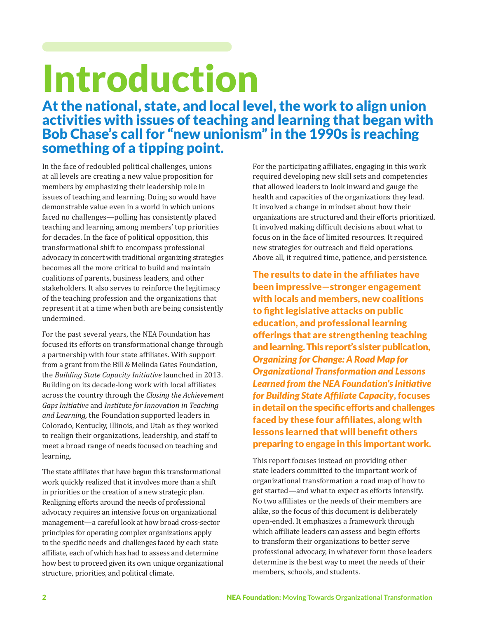# Introduction

At the national, state, and local level, the work to align union activities with issues of teaching and learning that began with Bob Chase's call for "new unionism" in the 1990s is reaching something of a tipping point.

In the face of redoubled political challenges, unions at all levels are creating a new value proposition for members by emphasizing their leadership role in issues of teaching and learning. Doing so would have demonstrable value even in a world in which unions faced no challenges—polling has consistently placed teaching and learning among members' top priorities for decades. In the face of political opposition, this transformational shift to encompass professional advocacy in concert with traditional organizing strategies becomes all the more critical to build and maintain coalitions of parents, business leaders, and other stakeholders. It also serves to reinforce the legitimacy of the teaching profession and the organizations that represent it at a time when both are being consistently undermined.

For the past several years, the NEA Foundation has focused its efforts on transformational change through a partnership with four state affiliates. With support from a grant from the Bill & Melinda Gates Foundation, the *Building State Capacity Initiative* launched in 2013. Building on its decade-long work with local affiliates across the country through the *Closing the Achievement Gaps Initiative* and *Institute for Innovation in Teaching and Learning,* the Foundation supported leaders in Colorado, Kentucky, Illinois, and Utah as they worked to realign their organizations, leadership, and staff to meet a broad range of needs focused on teaching and learning.

The state affiliates that have begun this transformational work quickly realized that it involves more than a shift in priorities or the creation of a new strategic plan. Realigning efforts around the needs of professional advocacy requires an intensive focus on organizational management—a careful look at how broad cross-sector principles for operating complex organizations apply to the specific needs and challenges faced by each state affiliate, each of which has had to assess and determine how best to proceed given its own unique organizational structure, priorities, and political climate.

For the participating affiliates, engaging in this work required developing new skill sets and competencies that allowed leaders to look inward and gauge the health and capacities of the organizations they lead. It involved a change in mindset about how their organizations are structured and their efforts prioritized. It involved making difficult decisions about what to focus on in the face of limited resources. It required new strategies for outreach and field operations. Above all, it required time, patience, and persistence.

The results to date in the affiliates have been impressive—stronger engagement with locals and members, new coalitions to fight legislative attacks on public education, and professional learning offerings that are strengthening teaching and learning. This report's sister publication, *Organizing for Change: A Road Map for Organizational Transformation and Lessons Learned from the NEA Foundation's Initiative for Building State Affiliate Capacity*, focuses in detail on the specific efforts and challenges faced by these four affiliates, along with lessons learned that will benefit others preparing to engage in this important work.

This report focuses instead on providing other state leaders committed to the important work of organizational transformation a road map of how to get started—and what to expect as efforts intensify. No two affiliates or the needs of their members are alike, so the focus of this document is deliberately open-ended. It emphasizes a framework through which affiliate leaders can assess and begin efforts to transform their organizations to better serve professional advocacy, in whatever form those leaders determine is the best way to meet the needs of their members, schools, and students.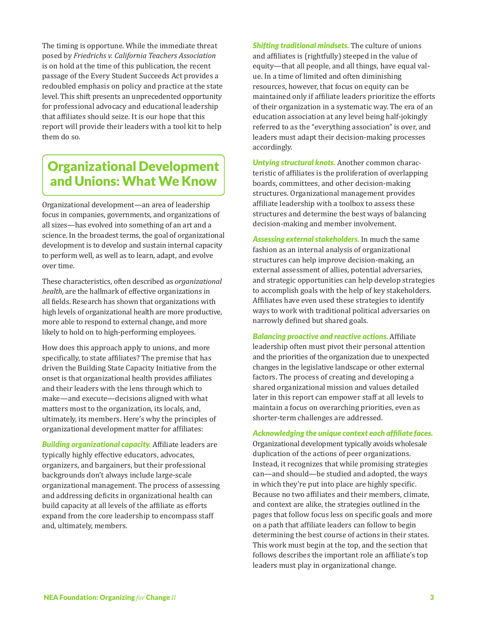The timing is opportune. While the immediate threat posed by *Friedrichs v. California Teachers Association* is on hold at the time of this publication, the recent passage of the Every Student Succeeds Act provides a redoubled emphasis on policy and practice at the state level. This shift presents an unprecedented opportunity for professional advocacy and educational leadership that affiliates should seize. It is our hope that this report will provide their leaders with a tool kit to help them do so.

#### Organizational Development and Unions: What We Know

Organizational development—an area of leadership focus in companies, governments, and organizations of all sizes—has evolved into something of an art and a science. In the broadest terms, the goal of organizational development is to develop and sustain internal capacity to perform well, as well as to learn, adapt, and evolve over time.

These characteristics, often described as *organizational health,* are the hallmark of effective organizations in all fields. Research has shown that organizations with high levels of organizational health are more productive, more able to respond to external change, and more likely to hold on to high-performing employees.

How does this approach apply to unions, and more specifically, to state affiliates? The premise that has driven the Building State Capacity Initiative from the onset is that organizational health provides affiliates and their leaders with the lens through which to make—and execute—decisions aligned with what matters most to the organization, its locals, and, ultimately, its members. Here's why the principles of organizational development matter for affiliates:

*Building organizational capacity.* Affiliate leaders are typically highly effective educators, advocates, organizers, and bargainers, but their professional backgrounds don't always include large-scale organizational management. The process of assessing and addressing deficits in organizational health can build capacity at all levels of the affiliate as efforts expand from the core leadership to encompass staff and, ultimately, members.

*Shifting traditional mindsets.* The culture of unions and affiliates is (rightfully) steeped in the value of equity—that all people, and all things, have equal value. In a time of limited and often diminishing resources, however, that focus on equity can be maintained only if affiliate leaders prioritize the efforts of their organization in a systematic way. The era of an education association at any level being half-jokingly referred to as the "everything association" is over, and leaders must adapt their decision-making processes accordingly.

*Untying structural knots.* Another common characteristic of affiliates is the proliferation of overlapping boards, committees, and other decision-making structures. Organizational management provides affiliate leadership with a toolbox to assess these structures and determine the best ways of balancing decision-making and member involvement.

*Assessing external stakeholders.* In much the same fashion as an internal analysis of organizational structures can help improve decision-making, an external assessment of allies, potential adversaries, and strategic opportunities can help develop strategies to accomplish goals with the help of key stakeholders. Affiliates have even used these strategies to identify ways to work with traditional political adversaries on narrowly defined but shared goals.

*Balancing proactive and reactive actions.* Affiliate leadership often must pivot their personal attention and the priorities of the organization due to unexpected changes in the legislative landscape or other external factors. The process of creating and developing a shared organizational mission and values detailed later in this report can empower staff at all levels to maintain a focus on overarching priorities, even as shorter-term challenges are addressed.

*Acknowledging the unique context each affiliate faces.* Organizational development typically avoids wholesale duplication of the actions of peer organizations. Instead, it recognizes that while promising strategies can—and should—be studied and adopted, the ways in which they're put into place are highly specific. Because no two affiliates and their members, climate, and context are alike, the strategies outlined in the pages that follow focus less on specific goals and more on a path that affiliate leaders can follow to begin determining the best course of actions in their states. This work must begin at the top, and the section that follows describes the important role an affiliate's top leaders must play in organizational change.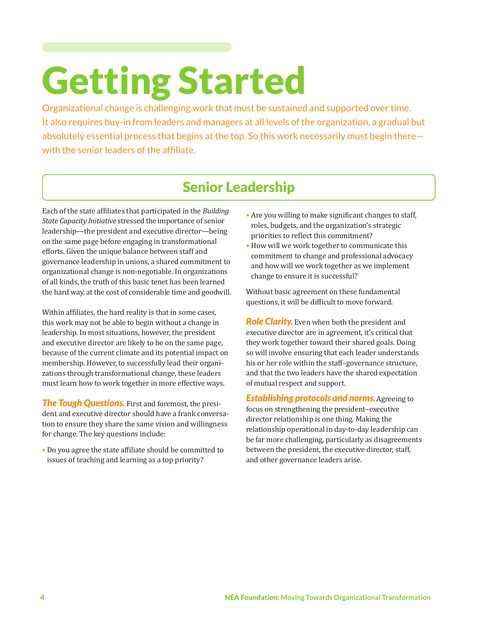# Getting Started

Organizational change is challenging work that must be sustained and supported over time. It also requires buy-in from leaders and managers at all levels of the organization, a gradual but absolutely essential process that begins at the top. So this work necessarily must begin there with the senior leaders of the affiliate.

#### Senior Leadership

Each of the state affiliates that participated in the *Building State Capacity Initiative* stressed the importance of senior leadership—the president and executive director—being on the same page before engaging in transformational efforts. Given the unique balance between staff and governance leadership in unions, a shared commitment to organizational change is non-negotiable. In organizations of all kinds, the truth of this basic tenet has been learned the hard way, at the cost of considerable time and goodwill.

Within affiliates, the hard reality is that in some cases, this work may not be able to begin without a change in leadership. In most situations, however, the president and executive director are likely to be on the same page, because of the current climate and its potential impact on membership. However, to successfully lead their organizations through transformational change, these leaders must learn how to work together in more effective ways.

*The Tough Questions.* First and foremost, the president and executive director should have a frank conversation to ensure they share the same vision and willingness for change. The key questions include:

• Do you agree the state affiliate should be committed to issues of teaching and learning as a top priority?

- Are you willing to make significant changes to staff, roles, budgets, and the organization's strategic priorities to reflect this commitment?
- How will we work together to communicate this commitment to change and professional advocacy and how will we work together as we implement change to ensure it is successful?

Without basic agreement on these fundamental questions, it will be difficult to move forward.

*Role Clarity.* Even when both the president and executive director are in agreement, it's critical that they work together toward their shared goals. Doing so will involve ensuring that each leader understands his or her role within the staff–governance structure, and that the two leaders have the shared expectation of mutual respect and support.

*Establishing protocols and norms*. Agreeing to focus on strengthening the president–executive director relationship is one thing. Making the relationship operational in day-to-day leadership can be far more challenging, particularly as disagreements between the president, the executive director, staff, and other governance leaders arise.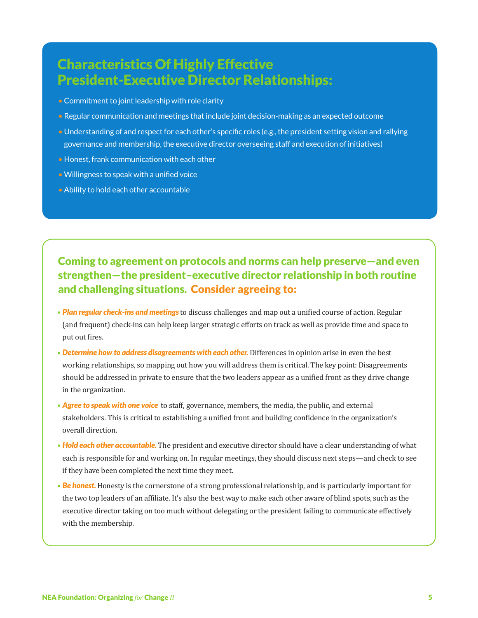#### Characteristics Of Highly Effective President-Executive Director Relationships:

- Commitment to joint leadership with role clarity
- Regular communication and meetings that include joint decision-making as an expected outcome
- Understanding of and respect for each other's specific roles (e.g., the president setting vision and rallying governance and membership, the executive director overseeing staff and execution of initiatives)
- Honest, frank communication with each other
- Willingness to speak with a unified voice
- Ability to hold each other accountable

#### Coming to agreement on protocols and norms can help preserve—and even strengthen—the president–executive director relationship in both routine and challenging situations. Consider agreeing to:

- *Plan regular check-ins and meetings* to discuss challenges and map out a unified course of action. Regular (and frequent) check-ins can help keep larger strategic efforts on track as well as provide time and space to put out fires.
- *Determine how to address disagreements with each other.* Differences in opinion arise in even the best working relationships, so mapping out how you will address them is critical. The key point: Disagreements should be addressed in private to ensure that the two leaders appear as a unified front as they drive change in the organization.
- *Agree to speak with one voice* to staff, governance, members, the media, the public, and external stakeholders. This is critical to establishing a unified front and building confidence in the organization's overall direction.
- *Hold each other accountable.* The president and executive director should have a clear understanding of what each is responsible for and working on. In regular meetings, they should discuss next steps—and check to see if they have been completed the next time they meet.
- *Be honest.* Honesty is the cornerstone of a strong professional relationship, and is particularly important for the two top leaders of an affiliate. It's also the best way to make each other aware of blind spots, such as the executive director taking on too much without delegating or the president failing to communicate effectively with the membership.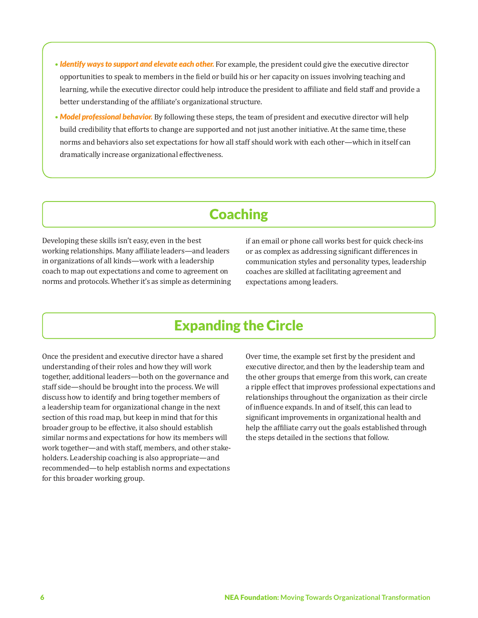- *Identify ways to support and elevate each other.* For example, the president could give the executive director opportunities to speak to members in the field or build his or her capacity on issues involving teaching and learning, while the executive director could help introduce the president to affiliate and field staff and provide a better understanding of the affiliate's organizational structure.
- *Model professional behavior.* By following these steps, the team of president and executive director will help build credibility that efforts to change are supported and not just another initiative. At the same time, these norms and behaviors also set expectations for how all staff should work with each other—which in itself can dramatically increase organizational effectiveness.

### **Coaching**

Developing these skills isn't easy, even in the best working relationships. Many affiliate leaders—and leaders in organizations of all kinds—work with a leadership coach to map out expectations and come to agreement on norms and protocols. Whether it's as simple as determining if an email or phone call works best for quick check-ins or as complex as addressing significant differences in communication styles and personality types, leadership coaches are skilled at facilitating agreement and expectations among leaders.

#### Expanding the Circle

Once the president and executive director have a shared understanding of their roles and how they will work together, additional leaders—both on the governance and staff side—should be brought into the process. We will discuss how to identify and bring together members of a leadership team for organizational change in the next section of this road map, but keep in mind that for this broader group to be effective, it also should establish similar norms and expectations for how its members will work together—and with staff, members, and other stakeholders. Leadership coaching is also appropriate—and recommended—to help establish norms and expectations for this broader working group.

Over time, the example set first by the president and executive director, and then by the leadership team and the other groups that emerge from this work, can create a ripple effect that improves professional expectations and relationships throughout the organization as their circle of influence expands. In and of itself, this can lead to significant improvements in organizational health and help the affiliate carry out the goals established through the steps detailed in the sections that follow.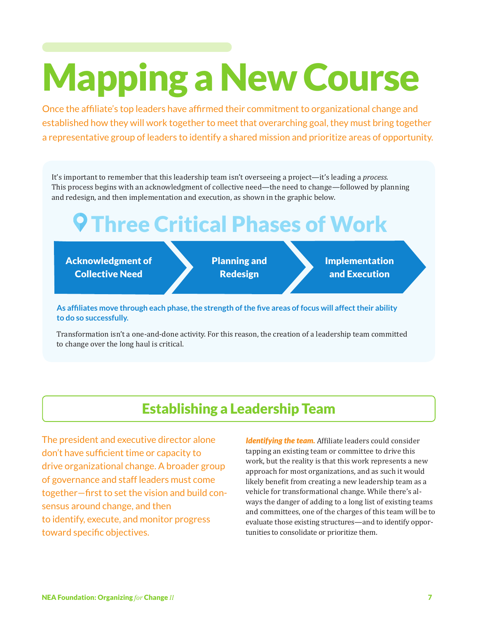# Mapping a New Course

Once the affiliate's top leaders have affirmed their commitment to organizational change and established how they will work together to meet that overarching goal, they must bring together a representative group of leaders to identify a shared mission and prioritize areas of opportunity.

It's important to remember that this leadership team isn't overseeing a project—it's leading a *process.* This process begins with an acknowledgment of collective need—the need to change—followed by planning and redesign, and then implementation and execution, as shown in the graphic below.

# **9 Three Critical Phases of Work**

Acknowledgment of Collective Need

Planning and Redesign

Implementation and Execution

**As affiliates move through each phase, the strength of the five areas of focus will affect their ability to do so successfully.**

Transformation isn't a one-and-done activity. For this reason, the creation of a leadership team committed to change over the long haul is critical.

#### Establishing a Leadership Team

The president and executive director alone don't have sufficient time or capacity to drive organizational change. A broader group of governance and staff leaders must come together—first to set the vision and build consensus around change, and then to identify, execute, and monitor progress toward specific objectives.

*Identifying the team.* Affiliate leaders could consider tapping an existing team or committee to drive this work, but the reality is that this work represents a new approach for most organizations, and as such it would likely benefit from creating a new leadership team as a vehicle for transformational change. While there's always the danger of adding to a long list of existing teams and committees, one of the charges of this team will be to evaluate those existing structures—and to identify opportunities to consolidate or prioritize them.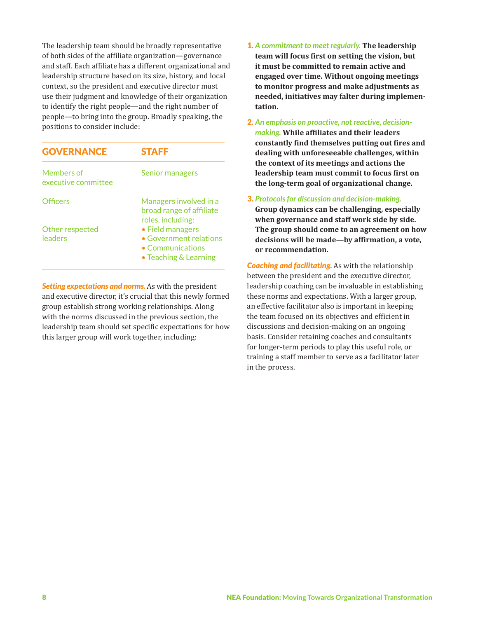The leadership team should be broadly representative of both sides of the affiliate organization—governance and staff. Each affiliate has a different organizational and leadership structure based on its size, history, and local context, so the president and executive director must use their judgment and knowledge of their organization to identify the right people—and the right number of people—to bring into the group. Broadly speaking, the positions to consider include:

| <b>GOVERNANCE</b>                 | <b>STAFF</b>                                                                                    |
|-----------------------------------|-------------------------------------------------------------------------------------------------|
| Members of<br>executive committee | Senior managers                                                                                 |
| <b>Officers</b>                   | Managers involved in a<br>broad range of affiliate<br>roles, including:                         |
| Other respected<br>leaders        | • Field managers<br>• Government relations<br>$\bullet$ Communications<br>• Teaching & Learning |

*Setting expectations and norms.* As with the president and executive director, it's crucial that this newly formed group establish strong working relationships. Along with the norms discussed in the previous section, the leadership team should set specific expectations for how this larger group will work together, including:

- 1. *A commitment to meet regularly.* **The leadership team will focus first on setting the vision, but it must be committed to remain active and engaged over time. Without ongoing meetings to monitor progress and make adjustments as needed, initiatives may falter during implementation.**
- 2. *An emphasis on proactive, not reactive, decisionmaking.* **While affiliates and their leaders constantly find themselves putting out fires and dealing with unforeseeable challenges, within the context of its meetings and actions the leadership team must commit to focus first on the long-term goal of organizational change.**
- 3. *Protocols for discussion and decision-making.* **Group dynamics can be challenging, especially when governance and staff work side by side. The group should come to an agreement on how decisions will be made—by affirmation, a vote, or recommendation.**

*Coaching and facilitating.* As with the relationship between the president and the executive director, leadership coaching can be invaluable in establishing these norms and expectations. With a larger group, an effective facilitator also is important in keeping the team focused on its objectives and efficient in discussions and decision-making on an ongoing basis. Consider retaining coaches and consultants for longer-term periods to play this useful role, or training a staff member to serve as a facilitator later in the process.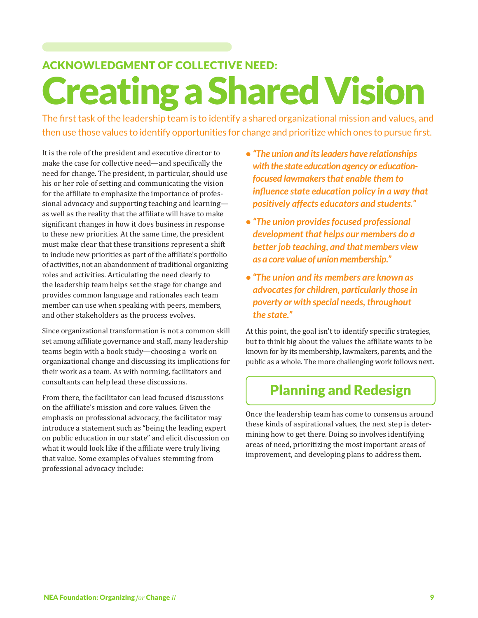# Creating a Shared Vision ACKNOWLEDGMENT OF COLLECTIVE NEED:

The first task of the leadership team is to identify a shared organizational mission and values, and then use those values to identify opportunities for change and prioritize which ones to pursue first.

It is the role of the president and executive director to make the case for collective need—and specifically the need for change. The president, in particular, should use his or her role of setting and communicating the vision for the affiliate to emphasize the importance of professional advocacy and supporting teaching and learning as well as the reality that the affiliate will have to make significant changes in how it does business in response to these new priorities. At the same time, the president must make clear that these transitions represent a shift to include new priorities as part of the affiliate's portfolio of activities, not an abandonment of traditional organizing roles and activities. Articulating the need clearly to the leadership team helps set the stage for change and provides common language and rationales each team member can use when speaking with peers, members, and other stakeholders as the process evolves.

Since organizational transformation is not a common skill set among affiliate governance and staff, many leadership teams begin with a book study—choosing a work on organizational change and discussing its implications for their work as a team. As with norming, facilitators and consultants can help lead these discussions.

From there, the facilitator can lead focused discussions on the affiliate's mission and core values. Given the emphasis on professional advocacy, the facilitator may introduce a statement such as "being the leading expert on public education in our state" and elicit discussion on what it would look like if the affiliate were truly living that value. Some examples of values stemming from professional advocacy include:

- **•** *"The union and its leaders have relationships with the state education agency or educationfocused lawmakers that enable them to influence state education policy in a way that positively affects educators and students."*
- **•***"The union provides focused professional development that helps our members do a better job teaching, and that members view as a core value of union membership."*
- *"The union and its members are known as advocates for children, particularly those in poverty or with special needs, throughout the state."*

At this point, the goal isn't to identify specific strategies, but to think big about the values the affiliate wants to be known for by its membership, lawmakers, parents, and the public as a whole. The more challenging work follows next.

### Planning and Redesign

Once the leadership team has come to consensus around these kinds of aspirational values, the next step is determining how to get there. Doing so involves identifying areas of need, prioritizing the most important areas of improvement, and developing plans to address them.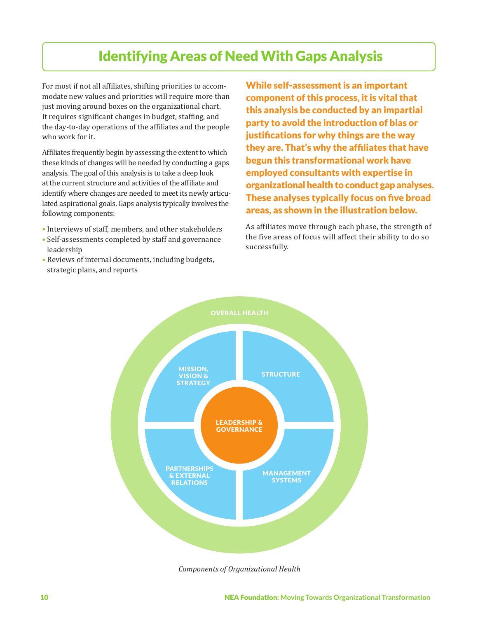### Identifying Areas of Need With Gaps Analysis

For most if not all affiliates, shifting priorities to accommodate new values and priorities will require more than just moving around boxes on the organizational chart. It requires significant changes in budget, staffing, and the day-to-day operations of the affiliates and the people who work for it.

Affiliates frequently begin by assessing the extent to which these kinds of changes will be needed by conducting a gaps analysis. The goal of this analysis is to take a deep look at the current structure and activities of the affiliate and identify where changes are needed to meet its newly articulated aspirational goals. Gaps analysis typically involves the following components:

- Interviews of staff, members, and other stakeholders
- Self-assessments completed by staff and governance leadership
- Reviews of internal documents, including budgets, strategic plans, and reports

While self-assessment is an important component of this process, it is vital that this analysis be conducted by an impartial party to avoid the introduction of bias or justifications for why things are the way they are. That's why the affiliates that have begun this transformational work have employed consultants with expertise in organizational health to conduct gap analyses. These analyses typically focus on five broad areas, as shown in the illustration below.

As affiliates move through each phase, the strength of the five areas of focus will affect their ability to do so successfully.



*Components of Organizational Health*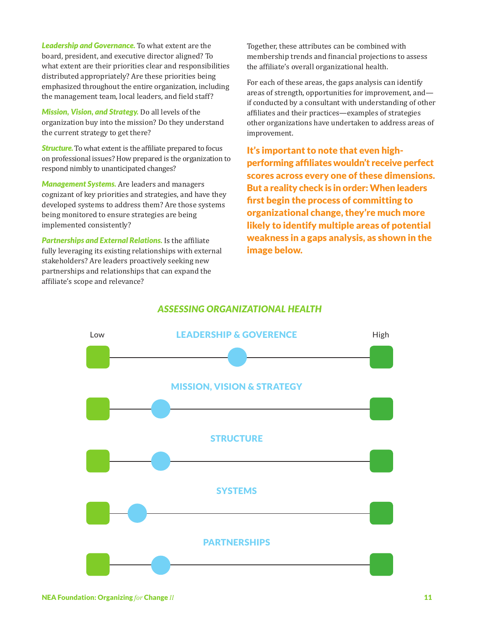*Leadership and Governance.* To what extent are the board, president, and executive director aligned? To what extent are their priorities clear and responsibilities distributed appropriately? Are these priorities being emphasized throughout the entire organization, including the management team, local leaders, and field staff?

*Mission, Vision, and Strategy.* Do all levels of the organization buy into the mission? Do they understand the current strategy to get there?

*Structure.* To what extent is the affiliate prepared to focus on professional issues? How prepared is the organization to respond nimbly to unanticipated changes?

*Management Systems.* Are leaders and managers cognizant of key priorities and strategies, and have they developed systems to address them? Are those systems being monitored to ensure strategies are being implemented consistently?

*Partnerships and External Relations.* Is the affiliate fully leveraging its existing relationships with external stakeholders? Are leaders proactively seeking new partnerships and relationships that can expand the affiliate's scope and relevance?

Together, these attributes can be combined with membership trends and financial projections to assess the affiliate's overall organizational health.

For each of these areas, the gaps analysis can identify areas of strength, opportunities for improvement, and if conducted by a consultant with understanding of other affiliates and their practices—examples of strategies other organizations have undertaken to address areas of improvement.

It's important to note that even highperforming affiliates wouldn't receive perfect scores across every one of these dimensions. But a reality check is in order: When leaders first begin the process of committing to organizational change, they're much more likely to identify multiple areas of potential weakness in a gaps analysis, as shown in the image below.

#### *Assessing Organizational Health*

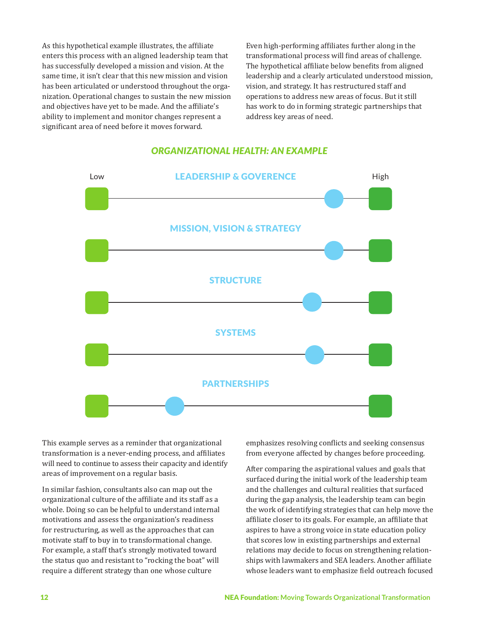As this hypothetical example illustrates, the affiliate enters this process with an aligned leadership team that has successfully developed a mission and vision. At the same time, it isn't clear that this new mission and vision has been articulated or understood throughout the organization. Operational changes to sustain the new mission and objectives have yet to be made. And the affiliate's ability to implement and monitor changes represent a significant area of need before it moves forward.

Even high-performing affiliates further along in the transformational process will find areas of challenge. The hypothetical affiliate below benefits from aligned leadership and a clearly articulated understood mission, vision, and strategy. It has restructured staff and operations to address new areas of focus. But it still has work to do in forming strategic partnerships that address key areas of need.



#### *Organizational Health: An Example*

This example serves as a reminder that organizational transformation is a never-ending process, and affiliates will need to continue to assess their capacity and identify areas of improvement on a regular basis.

In similar fashion, consultants also can map out the organizational culture of the affiliate and its staff as a whole. Doing so can be helpful to understand internal motivations and assess the organization's readiness for restructuring, as well as the approaches that can motivate staff to buy in to transformational change. For example, a staff that's strongly motivated toward the status quo and resistant to "rocking the boat" will require a different strategy than one whose culture

emphasizes resolving conflicts and seeking consensus from everyone affected by changes before proceeding.

After comparing the aspirational values and goals that surfaced during the initial work of the leadership team and the challenges and cultural realities that surfaced during the gap analysis, the leadership team can begin the work of identifying strategies that can help move the affiliate closer to its goals. For example, an affiliate that aspires to have a strong voice in state education policy that scores low in existing partnerships and external relations may decide to focus on strengthening relationships with lawmakers and SEA leaders. Another affiliate whose leaders want to emphasize field outreach focused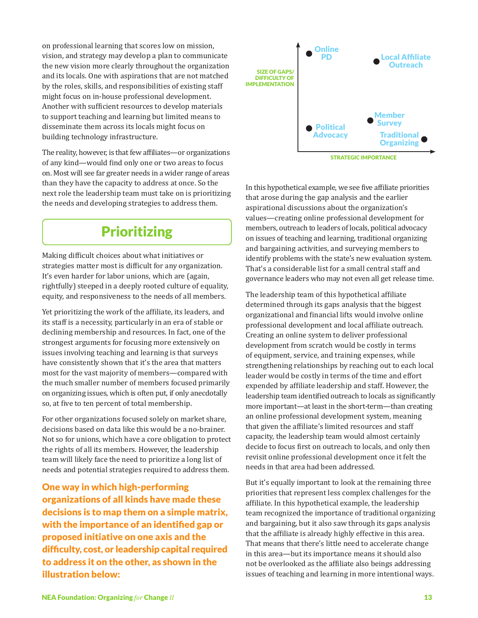on professional learning that scores low on mission, vision, and strategy may develop a plan to communicate the new vision more clearly throughout the organization and its locals. One with aspirations that are not matched by the roles, skills, and responsibilities of existing staff might focus on in-house professional development. Another with sufficient resources to develop materials to support teaching and learning but limited means to disseminate them across its locals might focus on building technology infrastructure.

The reality, however, is that few affiliates—or organizations of any kind—would find only one or two areas to focus on. Most will see far greater needs in a wider range of areas than they have the capacity to address at once. So the next role the leadership team must take on is prioritizing the needs and developing strategies to address them.

### **Prioritizing**

Making difficult choices about what initiatives or strategies matter most is difficult for any organization. It's even harder for labor unions, which are (again, rightfully) steeped in a deeply rooted culture of equality, equity, and responsiveness to the needs of all members.

Yet prioritizing the work of the affiliate, its leaders, and its staff is a necessity, particularly in an era of stable or declining membership and resources. In fact, one of the strongest arguments for focusing more extensively on issues involving teaching and learning is that surveys have consistently shown that it's the area that matters most for the vast majority of members—compared with the much smaller number of members focused primarily on organizing issues, which is often put, if only anecdotally so, at five to ten percent of total membership.

For other organizations focused solely on market share, decisions based on data like this would be a no-brainer. Not so for unions, which have a core obligation to protect the rights of all its members. However, the leadership team will likely face the need to prioritize a long list of needs and potential strategies required to address them.

One way in which high-performing organizations of all kinds have made these decisions is to map them on a simple matrix, with the importance of an identified gap or proposed initiative on one axis and the difficulty, cost, or leadership capital required to address it on the other, as shown in the illustration below:



In this hypothetical example, we see five affiliate priorities that arose during the gap analysis and the earlier aspirational discussions about the organization's values—creating online professional development for members, outreach to leaders of locals, political advocacy on issues of teaching and learning, traditional organizing and bargaining activities, and surveying members to identify problems with the state's new evaluation system. That's a considerable list for a small central staff and governance leaders who may not even all get release time.

The leadership team of this hypothetical affiliate determined through its gaps analysis that the biggest organizational and financial lifts would involve online professional development and local affiliate outreach. Creating an online system to deliver professional development from scratch would be costly in terms of equipment, service, and training expenses, while strengthening relationships by reaching out to each local leader would be costly in terms of the time and effort expended by affiliate leadership and staff. However, the leadership team identified outreach to locals as significantly more important—at least in the short-term—than creating an online professional development system, meaning that given the affiliate's limited resources and staff capacity, the leadership team would almost certainly decide to focus first on outreach to locals, and only then revisit online professional development once it felt the needs in that area had been addressed.

But it's equally important to look at the remaining three priorities that represent less complex challenges for the affiliate. In this hypothetical example, the leadership team recognized the importance of traditional organizing and bargaining, but it also saw through its gaps analysis that the affiliate is already highly effective in this area. That means that there's little need to accelerate change in this area—but its importance means it should also not be overlooked as the affiliate also beings addressing issues of teaching and learning in more intentional ways.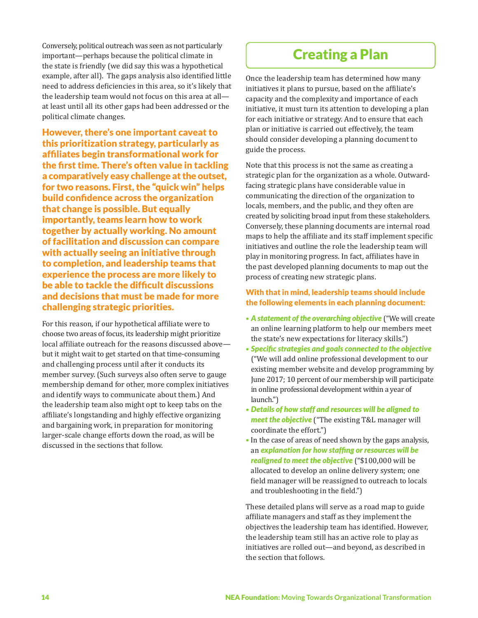Conversely, political outreach was seen as not particularly important—perhaps because the political climate in the state is friendly (we did say this was a hypothetical example, after all). The gaps analysis also identified little need to address deficiencies in this area, so it's likely that the leadership team would not focus on this area at all at least until all its other gaps had been addressed or the political climate changes.

However, there's one important caveat to this prioritization strategy, particularly as affiliates begin transformational work for the first time. There's often value in tackling a comparatively easy challenge at the outset, for two reasons. First, the "quick win" helps build confidence across the organization that change is possible. But equally importantly, teams learn how to work together by actually working. No amount of facilitation and discussion can compare with actually seeing an initiative through to completion, and leadership teams that experience the process are more likely to be able to tackle the difficult discussions and decisions that must be made for more challenging strategic priorities.

For this reason, if our hypothetical affiliate were to choose two areas of focus, its leadership might prioritize local affiliate outreach for the reasons discussed above but it might wait to get started on that time-consuming and challenging process until after it conducts its member survey. (Such surveys also often serve to gauge membership demand for other, more complex initiatives and identify ways to communicate about them.) And the leadership team also might opt to keep tabs on the affiliate's longstanding and highly effective organizing and bargaining work, in preparation for monitoring larger-scale change efforts down the road, as will be discussed in the sections that follow.

#### Creating a Plan

Once the leadership team has determined how many initiatives it plans to pursue, based on the affiliate's capacity and the complexity and importance of each initiative, it must turn its attention to developing a plan for each initiative or strategy. And to ensure that each plan or initiative is carried out effectively, the team should consider developing a planning document to guide the process.

Note that this process is not the same as creating a strategic plan for the organization as a whole. Outwardfacing strategic plans have considerable value in communicating the direction of the organization to locals, members, and the public, and they often are created by soliciting broad input from these stakeholders. Conversely, these planning documents are internal road maps to help the affiliate and its staff implement specific initiatives and outline the role the leadership team will play in monitoring progress. In fact, affiliates have in the past developed planning documents to map out the process of creating new strategic plans.

#### With that in mind, leadership teams should include the following elements in each planning document:

- *A statement of the overarching objective* ("We will create an online learning platform to help our members meet the state's new expectations for literacy skills.")
- *Specific strategies and goals connected to the objective* ("We will add online professional development to our existing member website and develop programming by June 2017; 10 percent of our membership will participate in online professional development within a year of launch.")
- *Details of how staff and resources will be aligned to meet the objective* ("The existing T&L manager will coordinate the effort.")
- In the case of areas of need shown by the gaps analysis, an *explanation for how staffing or resources will be realigned to meet the objective* ("\$100,000 will be allocated to develop an online delivery system; one field manager will be reassigned to outreach to locals and troubleshooting in the field.")

These detailed plans will serve as a road map to guide affiliate managers and staff as they implement the objectives the leadership team has identified. However, the leadership team still has an active role to play as initiatives are rolled out—and beyond, as described in the section that follows.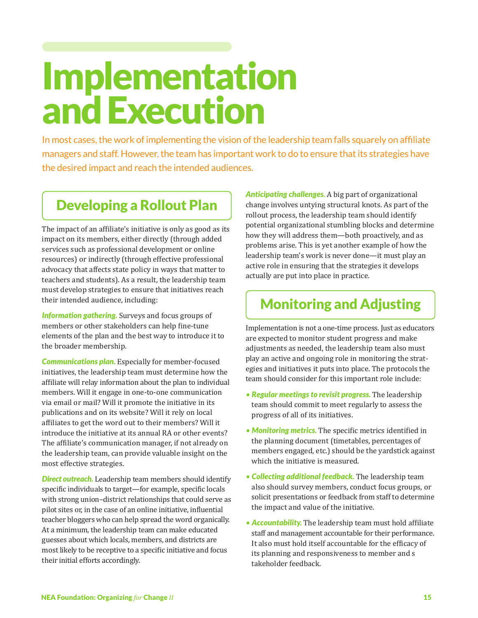# Implementation and Execution

In most cases, the work of implementing the vision of the leadership team falls squarely on affiliate managers and staff. However, the team has important work to do to ensure that its strategies have the desired impact and reach the intended audiences.

#### Developing a Rollout Plan

The impact of an affiliate's initiative is only as good as its impact on its members, either directly (through added services such as professional development or online resources) or indirectly (through effective professional advocacy that affects state policy in ways that matter to teachers and students). As a result, the leadership team must develop strategies to ensure that initiatives reach their intended audience, including:

*Information gathering.* Surveys and focus groups of members or other stakeholders can help fine-tune elements of the plan and the best way to introduce it to the broader membership.

*Communications plan.* Especially for member-focused initiatives, the leadership team must determine how the affiliate will relay information about the plan to individual members. Will it engage in one-to-one communication via email or mail? Will it promote the initiative in its publications and on its website? Will it rely on local affiliates to get the word out to their members? Will it introduce the initiative at its annual RA or other events? The affiliate's communication manager, if not already on the leadership team, can provide valuable insight on the most effective strategies.

*Direct outreach.* Leadership team members should identify specific individuals to target—for example, specific locals with strong union–district relationships that could serve as pilot sites or, in the case of an online initiative, influential teacher bloggers who can help spread the word organically. At a minimum, the leadership team can make educated guesses about which locals, members, and districts are most likely to be receptive to a specific initiative and focus their initial efforts accordingly.

*Anticipating challenges.* A big part of organizational change involves untying structural knots. As part of the rollout process, the leadership team should identify potential organizational stumbling blocks and determine how they will address them—both proactively, and as problems arise. This is yet another example of how the leadership team's work is never done—it must play an active role in ensuring that the strategies it develops actually are put into place in practice.

### Monitoring and Adjusting

Implementation is not a one-time process. Just as educators are expected to monitor student progress and make adjustments as needed, the leadership team also must play an active and ongoing role in monitoring the strategies and initiatives it puts into place. The protocols the team should consider for this important role include:

- *Regular meetings to revisit progress.* The leadership team should commit to meet regularly to assess the progress of all of its initiatives.
- *Monitoring metrics.* The specific metrics identified in the planning document (timetables, percentages of members engaged, etc.) should be the yardstick against which the initiative is measured.
- *Collecting additional feedback.* The leadership team also should survey members, conduct focus groups, or solicit presentations or feedback from staff to determine the impact and value of the initiative.
- *Accountability.* The leadership team must hold affiliate staff and management accountable for their performance. It also must hold itself accountable for the efficacy of its planning and responsiveness to member and s takeholder feedback.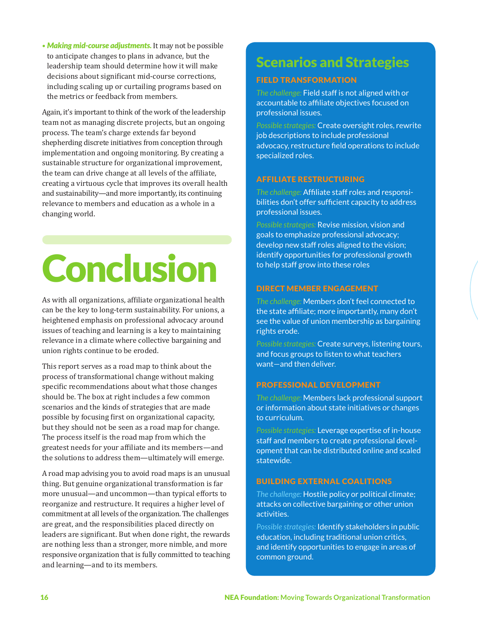• *Making mid-course adjustments.* It may not be possible to anticipate changes to plans in advance, but the leadership team should determine how it will make decisions about significant mid-course corrections, including scaling up or curtailing programs based on the metrics or feedback from members.

Again, it's important to think of the work of the leadership team not as managing discrete projects, but an ongoing process. The team's charge extends far beyond shepherding discrete initiatives from conception through implementation and ongoing monitoring. By creating a sustainable structure for organizational improvement, the team can drive change at all levels of the affiliate, creating a virtuous cycle that improves its overall health and sustainability—and more importantly, its continuing relevance to members and education as a whole in a changing world.

# **Conclusion**

As with all organizations, affiliate organizational health can be the key to long-term sustainability. For unions, a heightened emphasis on professional advocacy around issues of teaching and learning is a key to maintaining relevance in a climate where collective bargaining and union rights continue to be eroded.

This report serves as a road map to think about the process of transformational change without making specific recommendations about what those changes should be. The box at right includes a few common scenarios and the kinds of strategies that are made possible by focusing first on organizational capacity, but they should not be seen as a road map for change. The process itself is the road map from which the greatest needs for your affiliate and its members—and the solutions to address them—ultimately will emerge.

A road map advising you to avoid road maps is an unusual thing. But genuine organizational transformation is far more unusual—and uncommon—than typical efforts to reorganize and restructure. It requires a higher level of commitment at all levels of the organization. The challenges are great, and the responsibilities placed directly on leaders are significant. But when done right, the rewards are nothing less than a stronger, more nimble, and more responsive organization that is fully committed to teaching and learning—and to its members.

### Scenarios and Strategies

#### Field Transformation

*The challenge:* Field staff is not aligned with or accountable to affiliate objectives focused on professional issues.

*Possible strategies:* Create oversight roles, rewrite job descriptions to include professional advocacy, restructure field operations to include specialized roles.

#### Affiliate Restructuring

*The challenge:* Affiliate staff roles and responsibilities don't offer sufficient capacity to address professional issues.

*Possible strategies:* Revise mission, vision and goals to emphasize professional advocacy; develop new staff roles aligned to the vision; identify opportunities for professional growth to help staff grow into these roles

#### Direct Member Engagement

*The challenge:* Members don't feel connected to the state affiliate; more importantly, many don't see the value of union membership as bargaining rights erode.

*Possible strategies:* Create surveys, listening tours, and focus groups to listen to what teachers want—and then deliver.

#### Professional Development

*The challenge:* Members lack professional support or information about state initiatives or changes to curriculum.

*Possible strategies:* Leverage expertise of in-house staff and members to create professional development that can be distributed online and scaled statewide.

#### Building External Coalitions

*The challenge:* Hostile policy or political climate; attacks on collective bargaining or other union activities.

*Possible strategies:* Identify stakeholders in public education, including traditional union critics, and identify opportunities to engage in areas of common ground.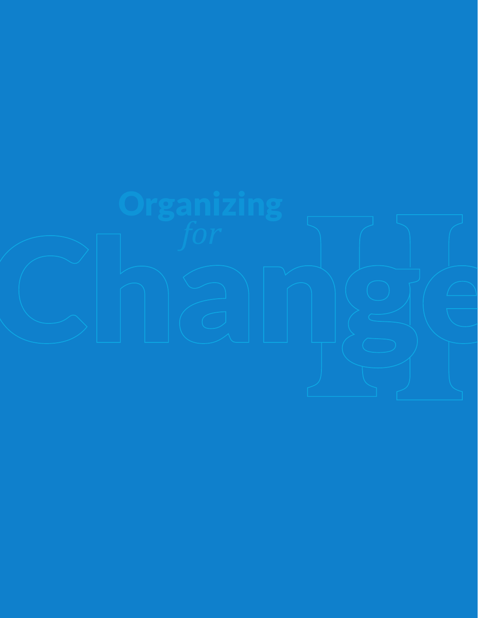